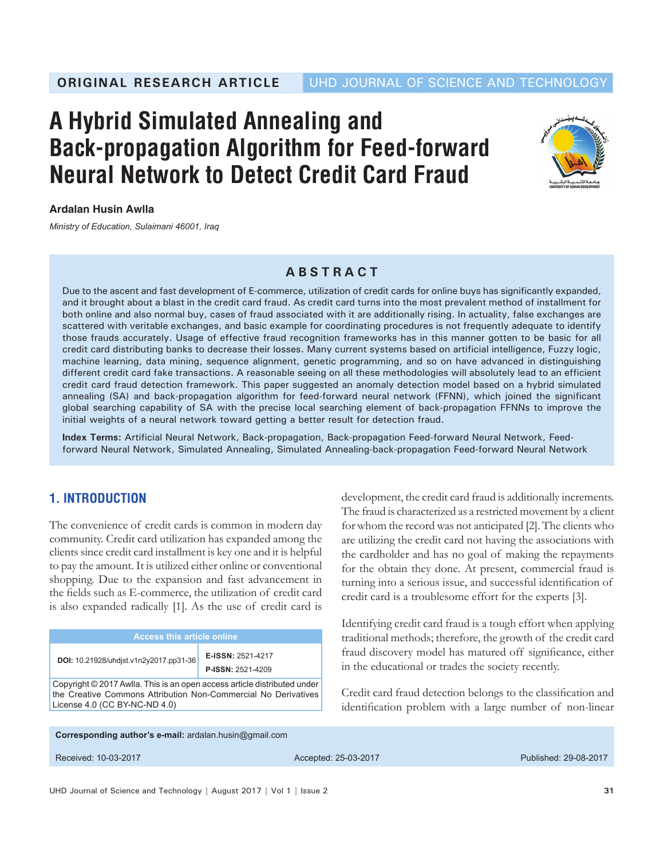# **A Hybrid Simulated Annealing and Back-propagation Algorithm for Feed-forward Neural Network to Detect Credit Card Fraud**



## **Ardalan Husin Awlla**

*Ministry of Education, Sulaimani 46001, Iraq*

## **ABSTRACT**

Due to the ascent and fast development of E-commerce, utilization of credit cards for online buys has significantly expanded, and it brought about a blast in the credit card fraud. As credit card turns into the most prevalent method of installment for both online and also normal buy, cases of fraud associated with it are additionally rising. In actuality, false exchanges are scattered with veritable exchanges, and basic example for coordinating procedures is not frequently adequate to identify those frauds accurately. Usage of effective fraud recognition frameworks has in this manner gotten to be basic for all credit card distributing banks to decrease their losses. Many current systems based on artificial intelligence, Fuzzy logic, machine learning, data mining, sequence alignment, genetic programming, and so on have advanced in distinguishing different credit card fake transactions. A reasonable seeing on all these methodologies will absolutely lead to an efficient credit card fraud detection framework. This paper suggested an anomaly detection model based on a hybrid simulated annealing (SA) and back-propagation algorithm for feed-forward neural network (FFNN), which joined the significant global searching capability of SA with the precise local searching element of back-propagation FFNNs to improve the initial weights of a neural network toward getting a better result for detection fraud.

**Index Terms:** Artificial Neural Network, Back-propagation, Back-propagation Feed-forward Neural Network, Feedforward Neural Network, Simulated Annealing, Simulated Annealing-back-propagation Feed-forward Neural Network

# **1. INTRODUCTION**

The convenience of credit cards is common in modern day community. Credit card utilization has expanded among the clients since credit card installment is key one and it is helpful to pay the amount. It is utilized either online or conventional shopping. Due to the expansion and fast advancement in the fields such as E-commerce, the utilization of credit card is also expanded radically [1]. As the use of credit card is

| <b>Access this article online</b>                                                                                                                                           |                                        |  |  |  |  |
|-----------------------------------------------------------------------------------------------------------------------------------------------------------------------------|----------------------------------------|--|--|--|--|
| DOI: 10.21928/uhdist.v1n2y2017.pp31-36                                                                                                                                      | E-ISSN: 2521-4217<br>P-ISSN: 2521-4209 |  |  |  |  |
| Copyright © 2017 Awlla. This is an open access article distributed under<br>the Creative Commons Attribution Non-Commercial No Derivatives<br>License 4.0 (CC BY-NC-ND 4.0) |                                        |  |  |  |  |

development, the credit card fraud is additionally increments. The fraud is characterized as a restricted movement by a client for whom the record was not anticipated [2]. The clients who are utilizing the credit card not having the associations with the cardholder and has no goal of making the repayments for the obtain they done. At present, commercial fraud is turning into a serious issue, and successful identification of credit card is a troublesome effort for the experts [3].

Identifying credit card fraud is a tough effort when applying traditional methods; therefore, the growth of the credit card fraud discovery model has matured off significance, either in the educational or trades the society recently.

Credit card fraud detection belongs to the classification and identification problem with a large number of non-linear

**Corresponding author's e-mail:** ardalan.husin@gmail.com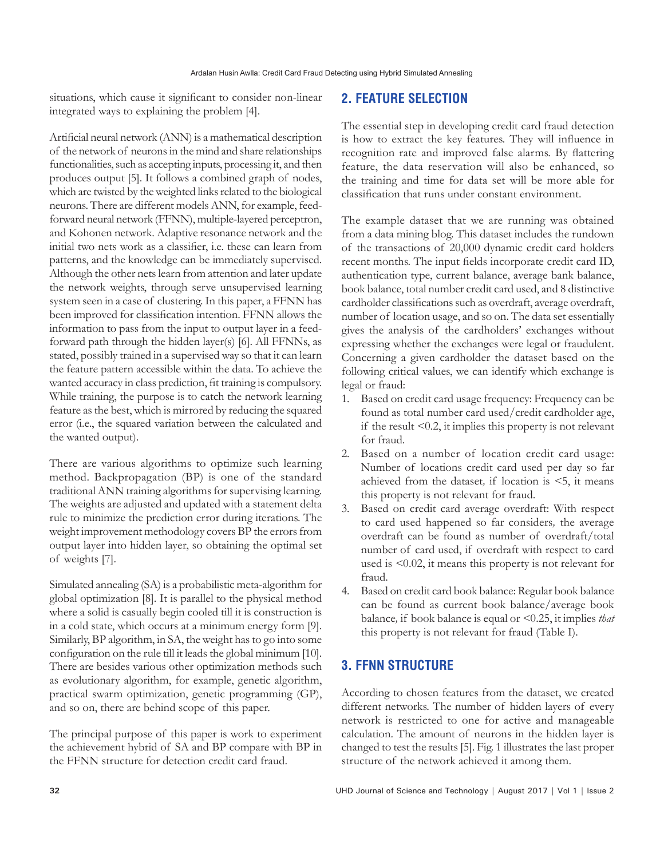situations, which cause it significant to consider non-linear integrated ways to explaining the problem [4].

Artificial neural network (ANN) is a mathematical description of the network of neurons in the mind and share relationships functionalities, such as accepting inputs, processing it, and then produces output [5]. It follows a combined graph of nodes, which are twisted by the weighted links related to the biological neurons. There are different models ANN, for example, feedforward neural network (FFNN), multiple-layered perceptron, and Kohonen network. Adaptive resonance network and the initial two nets work as a classifier, i.e. these can learn from patterns, and the knowledge can be immediately supervised. Although the other nets learn from attention and later update the network weights, through serve unsupervised learning system seen in a case of clustering. In this paper, a FFNN has been improved for classification intention. FFNN allows the information to pass from the input to output layer in a feedforward path through the hidden layer(s) [6]. All FFNNs, as stated, possibly trained in a supervised way so that it can learn the feature pattern accessible within the data. To achieve the wanted accuracy in class prediction, fit training is compulsory. While training, the purpose is to catch the network learning feature as the best, which is mirrored by reducing the squared error (i.e., the squared variation between the calculated and the wanted output).

There are various algorithms to optimize such learning method. Backpropagation (BP) is one of the standard traditional ANN training algorithms for supervising learning. The weights are adjusted and updated with a statement delta rule to minimize the prediction error during iterations. The weight improvement methodology covers BP the errors from output layer into hidden layer, so obtaining the optimal set of weights [7].

Simulated annealing (SA) is a probabilistic meta-algorithm for global optimization [8]. It is parallel to the physical method where a solid is casually begin cooled till it is construction is in a cold state, which occurs at a minimum energy form [9]. Similarly, BP algorithm, in SA, the weight has to go into some configuration on the rule till it leads the global minimum [10]. There are besides various other optimization methods such as evolutionary algorithm, for example, genetic algorithm, practical swarm optimization, genetic programming (GP), and so on, there are behind scope of this paper.

The principal purpose of this paper is work to experiment the achievement hybrid of SA and BP compare with BP in the FFNN structure for detection credit card fraud.

# **2. FEATURE SELECTION**

The essential step in developing credit card fraud detection is how to extract the key features. They will influence in recognition rate and improved false alarms. By flattering feature, the data reservation will also be enhanced, so the training and time for data set will be more able for classification that runs under constant environment.

The example dataset that we are running was obtained from a data mining blog. This dataset includes the rundown of the transactions of 20,000 dynamic credit card holders recent months. The input fields incorporate credit card ID, authentication type, current balance, average bank balance, book balance, total number credit card used, and 8 distinctive cardholder classifications such as overdraft, average overdraft, number of location usage, and so on. The data set essentially gives the analysis of the cardholders' exchanges without expressing whether the exchanges were legal or fraudulent. Concerning a given cardholder the dataset based on the following critical values, we can identify which exchange is legal or fraud:

- 1*.* Based on credit card usage frequency: Frequency can be found as total number card used/credit cardholder age, if the result *<*0.2, it implies this property is not relevant for fraud.
- 2*.* Based on a number of location credit card usage: Number of locations credit card used per day so far achieved from the dataset*,* if location is *<*5, it means this property is not relevant for fraud.
- 3*.* Based on credit card average overdraft: With respect to card used happened so far considers*,* the average overdraft can be found as number of overdraft/total number of card used, if overdraft with respect to card used is *<*0.02, it means this property is not relevant for fraud.
- 4*.* Based on credit card book balance: Regular book balance can be found as current book balance/average book balance*,* if book balance is equal or *<*0.25, it implies *that* this property is not relevant for fraud (Table I).

# **3. FFNN STRUCTURE**

According to chosen features from the dataset, we created different networks. The number of hidden layers of every network is restricted to one for active and manageable calculation. The amount of neurons in the hidden layer is changed to test the results [5]. Fig. 1 illustrates the last proper structure of the network achieved it among them.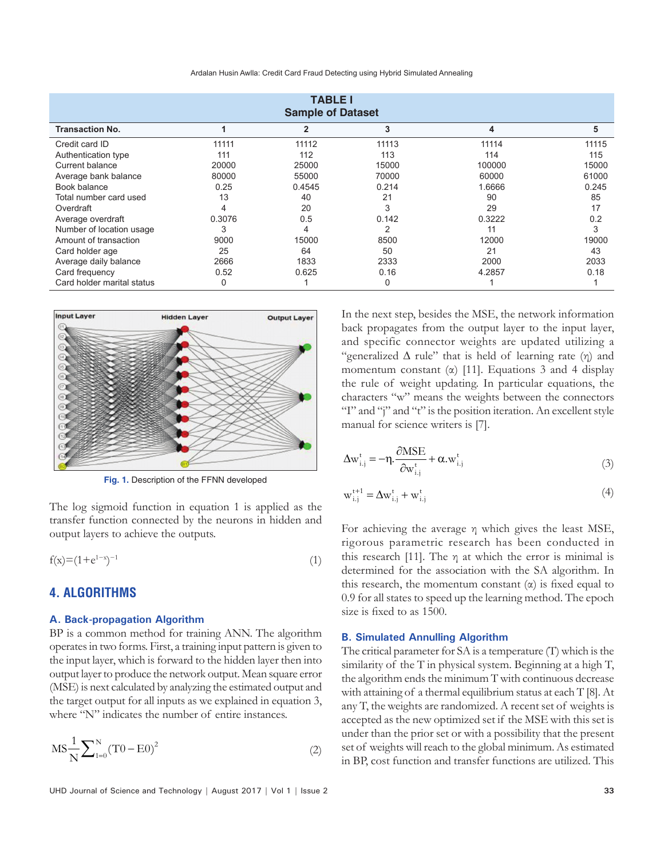| Ardalan Husin Awlla: Credit Card Fraud Detecting using Hybrid Simulated Annealing |  |  |  |  |  |
|-----------------------------------------------------------------------------------|--|--|--|--|--|
|-----------------------------------------------------------------------------------|--|--|--|--|--|

| <b>TABLE I</b><br><b>Sample of Dataset</b> |        |                |          |        |       |  |
|--------------------------------------------|--------|----------------|----------|--------|-------|--|
| <b>Transaction No.</b>                     |        | $\overline{2}$ | 3        | 4      | 5     |  |
| Credit card ID                             | 11111  | 11112          | 11113    | 11114  | 11115 |  |
| Authentication type                        | 111    | 112            | 113      | 114    | 115   |  |
| Current balance                            | 20000  | 25000          | 15000    | 100000 | 15000 |  |
| Average bank balance                       | 80000  | 55000          | 70000    | 60000  | 61000 |  |
| Book balance                               | 0.25   | 0.4545         | 0.214    | 1.6666 | 0.245 |  |
| Total number card used                     | 13     | 40             | 21       | 90     | 85    |  |
| Overdraft                                  | 4      | 20             | 3        | 29     | 17    |  |
| Average overdraft                          | 0.3076 | 0.5            | 0.142    | 0.3222 | 0.2   |  |
| Number of location usage                   | 3      | 4              | 2        | 11     | 3     |  |
| Amount of transaction                      | 9000   | 15000          | 8500     | 12000  | 19000 |  |
| Card holder age                            | 25     | 64             | 50       | 21     | 43    |  |
| Average daily balance                      | 2666   | 1833           | 2333     | 2000   | 2033  |  |
| Card frequency                             | 0.52   | 0.625          | 0.16     | 4.2857 | 0.18  |  |
| Card holder marital status                 | 0      |                | $\Omega$ |        |       |  |



**Fig. 1.** Description of the FFNN developed

The log sigmoid function in equation 1 is applied as the transfer function connected by the neurons in hidden and output layers to achieve the outputs.

$$
f(x) = (1 + e^{1-x})^{-1}
$$
 (1)

## **4. ALGORITHMS**

#### **A. Back-propagation Algorithm**

BP is a common method for training ANN. The algorithm operates in two forms. First, a training input pattern is given to the input layer, which is forward to the hidden layer then into output layer to produce the network output. Mean square error (MSE) is next calculated by analyzing the estimated output and the target output for all inputs as we explained in equation 3, where "N" indicates the number of entire instances.

$$
MS\frac{1}{N}\sum_{1=0}^{N}(T0 - E0)^{2}
$$
 (2)

UHD Journal of Science and Technology | August 2017 | Vol 1 | Issue 2 **33**

In the next step, besides the MSE, the network information back propagates from the output layer to the input layer, and specific connector weights are updated utilizing a "generalized  $\Delta$  rule" that is held of learning rate (η) and momentum constant ( $\alpha$ ) [11]. Equations 3 and 4 display the rule of weight updating. In particular equations, the characters "w" means the weights between the connectors "I" and "j" and "t" is the position iteration. An excellent style manual for science writers is [7].

$$
\Delta \mathbf{w}_{i,j}^t = -\eta \cdot \frac{\partial \text{MSE}}{\partial \mathbf{w}_{i,j}^t} + \alpha \cdot \mathbf{w}_{i,j}^t \tag{3}
$$

$$
\mathbf{w}_{i,j}^{t+1} = \Delta \mathbf{w}_{i,j}^t + \mathbf{w}_{i,j}^t \tag{4}
$$

For achieving the average η which gives the least MSE, rigorous parametric research has been conducted in this research [11]. The  $\eta$  at which the error is minimal is determined for the association with the SA algorithm. In this research, the momentum constant  $(\alpha)$  is fixed equal to 0.9 for all states to speed up the learning method. The epoch size is fixed to as 1500.

#### **B. Simulated Annulling Algorithm**

The critical parameter for SA is a temperature (T) which is the similarity of the T in physical system. Beginning at a high T, the algorithm ends the minimum T with continuous decrease with attaining of a thermal equilibrium status at each T [8]. At any T, the weights are randomized. A recent set of weights is accepted as the new optimized set if the MSE with this set is under than the prior set or with a possibility that the present set of weights will reach to the global minimum. As estimated in BP, cost function and transfer functions are utilized. This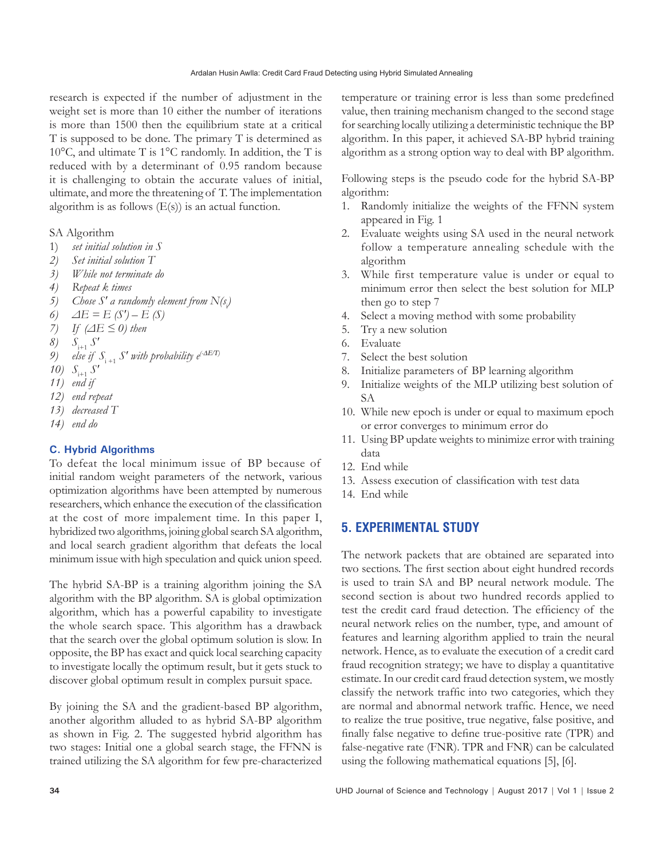research is expected if the number of adjustment in the weight set is more than 10 either the number of iterations is more than 1500 then the equilibrium state at a critical T is supposed to be done. The primary T is determined as 10°C, and ultimate T is 1°C randomly. In addition, the T is reduced with by a determinant of 0.95 random because it is challenging to obtain the accurate values of initial, ultimate, and more the threatening of T. The implementation algorithm is as follows  $(E(s))$  is an actual function.

SA Algorithm

- 1) *set initial solution in S*
- *2) Set initial solution T*
- *3) While not terminate do*
- *4) Repeat k times*
- *5*) Chose S' a randomly element from  $N(s)$
- *6) ΔE = E (S′) – E (S)*
- *7) If (ΔE ≤ 0) then*
- *8) S*i+1 *S′*
- *9*) else if  $S_{i+1}$   $S'$  with probability e<sup>(- $\Delta E/T$ </sup>)
- *10) S*i+1 *S′*
- *11) end if*
- *12) end repeat*
- *13) decreased T*
- *14) end do*

## **C. Hybrid Algorithms**

To defeat the local minimum issue of BP because of initial random weight parameters of the network, various optimization algorithms have been attempted by numerous researchers, which enhance the execution of the classification at the cost of more impalement time. In this paper I, hybridized two algorithms, joining global search SA algorithm, and local search gradient algorithm that defeats the local minimum issue with high speculation and quick union speed.

The hybrid SA-BP is a training algorithm joining the SA algorithm with the BP algorithm. SA is global optimization algorithm, which has a powerful capability to investigate the whole search space. This algorithm has a drawback that the search over the global optimum solution is slow. In opposite, the BP has exact and quick local searching capacity to investigate locally the optimum result, but it gets stuck to discover global optimum result in complex pursuit space.

By joining the SA and the gradient-based BP algorithm, another algorithm alluded to as hybrid SA-BP algorithm as shown in Fig. 2. The suggested hybrid algorithm has two stages: Initial one a global search stage, the FFNN is trained utilizing the SA algorithm for few pre-characterized temperature or training error is less than some predefined value, then training mechanism changed to the second stage for searching locally utilizing a deterministic technique the BP algorithm. In this paper, it achieved SA-BP hybrid training algorithm as a strong option way to deal with BP algorithm.

Following steps is the pseudo code for the hybrid SA-BP algorithm:

- 1. Randomly initialize the weights of the FFNN system appeared in Fig. 1
- 2. Evaluate weights using SA used in the neural network follow a temperature annealing schedule with the algorithm
- 3. While first temperature value is under or equal to minimum error then select the best solution for MLP then go to step 7
- 4. Select a moving method with some probability
- 5. Try a new solution
- 6. Evaluate
- 7. Select the best solution
- 8. Initialize parameters of BP learning algorithm
- 9. Initialize weights of the MLP utilizing best solution of SA
- 10. While new epoch is under or equal to maximum epoch or error converges to minimum error do
- 11. Using BP update weights to minimize error with training data
- 12. End while
- 13. Assess execution of classification with test data
- 14. End while

# **5. EXPERIMENTAL STUDY**

The network packets that are obtained are separated into two sections. The first section about eight hundred records is used to train SA and BP neural network module. The second section is about two hundred records applied to test the credit card fraud detection. The efficiency of the neural network relies on the number, type, and amount of features and learning algorithm applied to train the neural network. Hence, as to evaluate the execution of a credit card fraud recognition strategy; we have to display a quantitative estimate. In our credit card fraud detection system, we mostly classify the network traffic into two categories, which they are normal and abnormal network traffic. Hence, we need to realize the true positive, true negative, false positive, and finally false negative to define true-positive rate (TPR) and false-negative rate (FNR). TPR and FNR) can be calculated using the following mathematical equations [5], [6].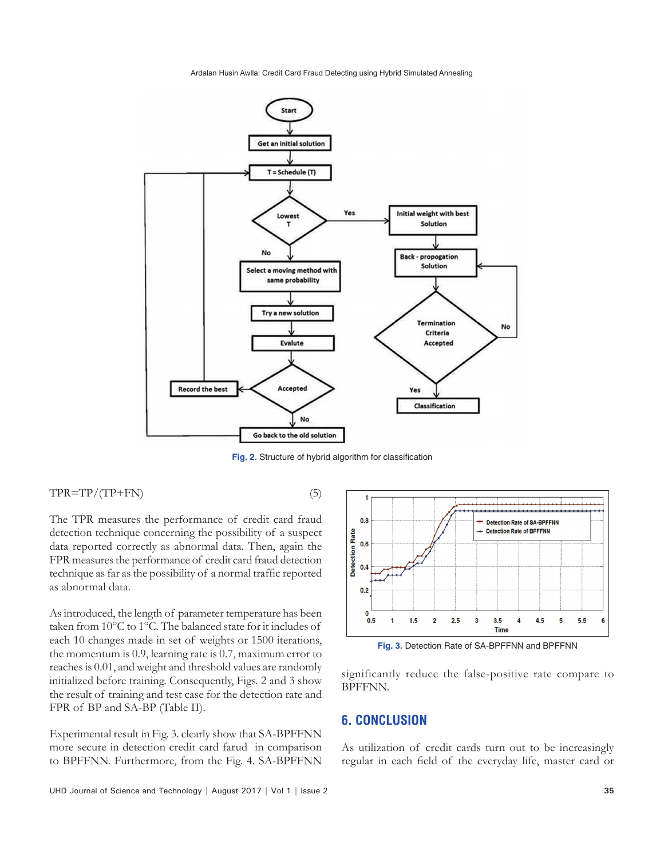Ardalan Husin Awlla: Credit Card Fraud Detecting using Hybrid Simulated Annealing



**Fig. 2.** Structure of hybrid algorithm for classification

 $TPR = TP/(TP + FN)$  (5)

The TPR measures the performance of credit card fraud detection technique concerning the possibility of a suspect data reported correctly as abnormal data. Then, again the FPR measures the performance of credit card fraud detection technique as far as the possibility of a normal traffic reported as abnormal data.

As introduced, the length of parameter temperature has been taken from 10°C to 1°C. The balanced state for it includes of each 10 changes made in set of weights or 1500 iterations, the momentum is 0.9, learning rate is 0.7, maximum error to reaches is 0.01, and weight and threshold values are randomly initialized before training. Consequently, Figs. 2 and 3 show the result of training and test case for the detection rate and FPR of BP and SA-BP (Table II).

Experimental result in Fig. 3. clearly show that SA-BPFFNN more secure in detection credit card farud in comparison to BPFFNN. Furthermore, from the Fig. 4. SA-BPFFNN



**Fig. 3.** Detection Rate of SA-BPFFNN and BPFFNN

significantly reduce the false-positive rate compare to BPFFNN.

# **6. CONCLUSION**

As utilization of credit cards turn out to be increasingly regular in each field of the everyday life, master card or